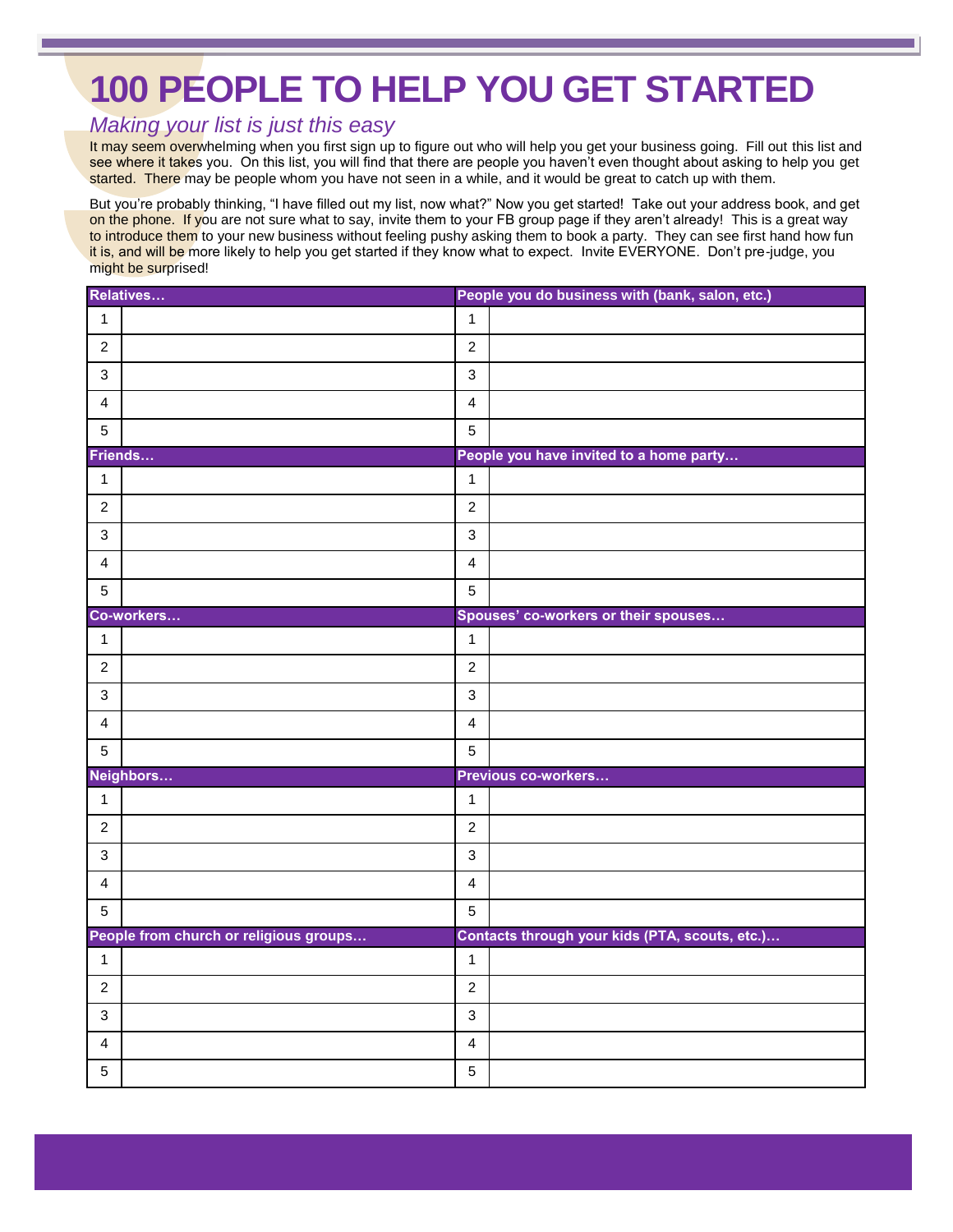## **100 PEOPLE TO HELP YOU GET STARTED**

## *Making your list is just this easy*

It may seem overwhelming when you first sign up to figure out who will help you get your business going. Fill out this list and see where it takes you. On this list, you will find that there are people you haven't even thought about asking to help you get started. There may be people whom you have not seen in a while, and it would be great to catch up with them.

But you're probably thinking, "I have filled out my list, now what?" Now you get started! Take out your address book, and get on the phone. If you are not sure what to say, invite them to your FB group page if they aren't already! This is a great way to introduce them to your new business without feeling pushy asking them to book a party. They can see first hand how fun it is, and will be more likely to help you get started if they know what to expect. Invite EVERYONE. Don't pre-judge, you might be surprised!

| Relatives               |                                        |                         | People you do business with (bank, salon, etc.) |  |
|-------------------------|----------------------------------------|-------------------------|-------------------------------------------------|--|
| $\mathbf{1}$            |                                        | $\mathbf{1}$            |                                                 |  |
| $\overline{2}$          |                                        | $\overline{2}$          |                                                 |  |
| $\mathbf{3}$            |                                        | $\sqrt{3}$              |                                                 |  |
| $\overline{\mathbf{4}}$ |                                        | $\overline{\mathbf{4}}$ |                                                 |  |
| 5                       |                                        | $\sqrt{5}$              |                                                 |  |
| Friends                 |                                        |                         | People you have invited to a home party         |  |
| $\mathbf{1}$            |                                        | $\mathbf{1}$            |                                                 |  |
| $\overline{2}$          |                                        | $\boldsymbol{2}$        |                                                 |  |
| $\mathbf{3}$            |                                        | $\mathbf{3}$            |                                                 |  |
| $\overline{4}$          |                                        | $\overline{\mathbf{4}}$ |                                                 |  |
| 5                       |                                        | $\overline{5}$          |                                                 |  |
|                         | Co-workers                             |                         | Spouses' co-workers or their spouses            |  |
| $\mathbf{1}$            |                                        | $\mathbf{1}$            |                                                 |  |
| $\overline{2}$          |                                        | $\overline{2}$          |                                                 |  |
| $\mathbf{3}$            |                                        | $\mathbf{3}$            |                                                 |  |
| $\overline{4}$          |                                        | $\overline{\mathbf{4}}$ |                                                 |  |
| 5                       |                                        | 5                       |                                                 |  |
| Neighbors               |                                        |                         | Previous co-workers                             |  |
| $\mathbf{1}$            |                                        | $\mathbf{1}$            |                                                 |  |
| $\overline{2}$          |                                        | $\overline{c}$          |                                                 |  |
| 3                       |                                        | $\mathbf{3}$            |                                                 |  |
| $\overline{4}$          |                                        | $\overline{4}$          |                                                 |  |
| $\overline{5}$          |                                        | $\overline{5}$          |                                                 |  |
|                         | People from church or religious groups |                         | Contacts through your kids (PTA, scouts, etc.)  |  |
| $\mathbf{1}$            |                                        | $\mathbf{1}$            |                                                 |  |
| $\overline{2}$          |                                        | $\overline{c}$          |                                                 |  |
| 3                       |                                        | $\mathbf{3}$            |                                                 |  |
| 4                       |                                        | $\overline{4}$          |                                                 |  |
| $\overline{5}$          |                                        | 5                       |                                                 |  |